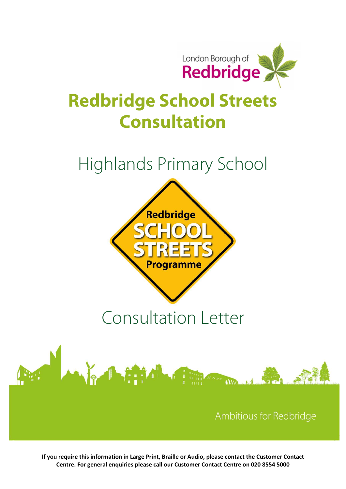

## Redbridge School Streets Consultation

### Highlands Primary School



# Consultation Letter



If you require this information in Large Print, Braille or Audio, please contact the Customer Contact Centre. For general enquiries please call our Customer Contact Centre on 020 8554 5000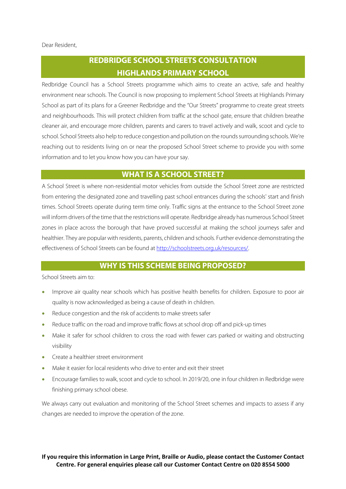#### Dear Resident,

### REDBRIDGE SCHOOL STREETS CONSULTATION HIGHLANDS PRIMARY SCHOOL

Redbridge Council has a School Streets programme which aims to create an active, safe and healthy environment near schools. The Council is now proposing to implement School Streets at Highlands Primary School as part of its plans for a Greener Redbridge and the "Our Streets" programme to create great streets and neighbourhoods. This will protect children from traffic at the school gate, ensure that children breathe cleaner air, and encourage more children, parents and carers to travel actively and walk, scoot and cycle to school. School Streets also help to reduce congestion and pollution on the rounds surrounding schools. We're reaching out to residents living on or near the proposed School Street scheme to provide you with some information and to let you know how you can have your say.

#### WHAT IS A SCHOOL STREET?

A School Street is where non-residential motor vehicles from outside the School Street zone are restricted from entering the designated zone and travelling past school entrances during the schools' start and finish times. School Streets operate during term time only. Traffic signs at the entrance to the School Street zone will inform drivers of the time that the restrictions will operate. Redbridge already has numerous School Street zones in place across the borough that have proved successful at making the school journeys safer and healthier. They are popular with residents, parents, children and schools. Further evidence demonstrating the effectiveness of School Streets can be found at http://schoolstreets.org.uk/resources/.

#### WHY IS THIS SCHEME BEING PROPOSED?

School Streets aim to:

- Improve air quality near schools which has positive health benefits for children. Exposure to poor air quality is now acknowledged as being a cause of death in children.
- Reduce congestion and the risk of accidents to make streets safer
- Reduce traffic on the road and improve traffic flows at school drop off and pick-up times
- Make it safer for school children to cross the road with fewer cars parked or waiting and obstructing visibility
- **•** Create a healthier street environment
- Make it easier for local residents who drive to enter and exit their street
- Encourage families to walk, scoot and cycle to school. In 2019/20, one in four children in Redbridge were finishing primary school obese.

We always carry out evaluation and monitoring of the School Street schemes and impacts to assess if any changes are needed to improve the operation of the zone.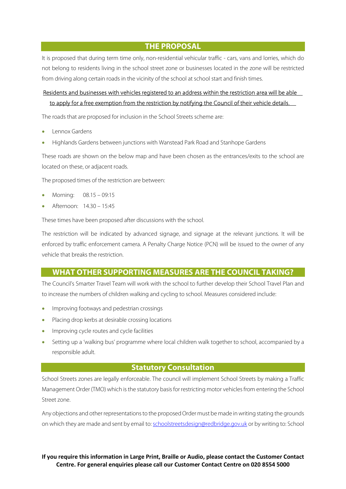THE PROPOSAL

It is proposed that during term time only, non-residential vehicular traffic - cars, vans and lorries, which do not belong to residents living in the school street zone or businesses located in the zone will be restricted from driving along certain roads in the vicinity of the school at school start and finish times.

#### Residents and businesses with vehicles registered to an address within the restriction area will be able to apply for a free exemption from the restriction by notifying the Council of their vehicle details.

The roads that are proposed for inclusion in the School Streets scheme are:

- Lennox Gardens
- Highlands Gardens between junctions with Wanstead Park Road and Stanhope Gardens

These roads are shown on the below map and have been chosen as the entrances/exits to the school are located on these, or adjacent roads.

The proposed times of the restriction are between:

- Morning: 08.15 09:15
- Afternoon: 14.30 15:45

These times have been proposed after discussions with the school.

The restriction will be indicated by advanced signage, and signage at the relevant junctions. It will be enforced by traffic enforcement camera. A Penalty Charge Notice (PCN) will be issued to the owner of any vehicle that breaks the restriction.

#### WHAT OTHER SUPPORTING MEASURES ARE THE COUNCIL TAKING?

The Council's Smarter Travel Team will work with the school to further develop their School Travel Plan and to increase the numbers of children walking and cycling to school. Measures considered include:

- Improving footways and pedestrian crossings
- Placing drop kerbs at desirable crossing locations
- Improving cycle routes and cycle facilities
- Setting up a 'walking bus' programme where local children walk together to school, accompanied by a responsible adult.

#### Statutory Consultation

School Streets zones are legally enforceable. The council will implement School Streets by making a Traffic Management Order (TMO) which is the statutory basis for restricting motor vehicles from entering the School Street zone.

Any objections and other representations to the proposed Order must be made in writing stating the grounds on which they are made and sent by email to: schoolstreetsdesign@redbridge.gov.uk or by writing to: School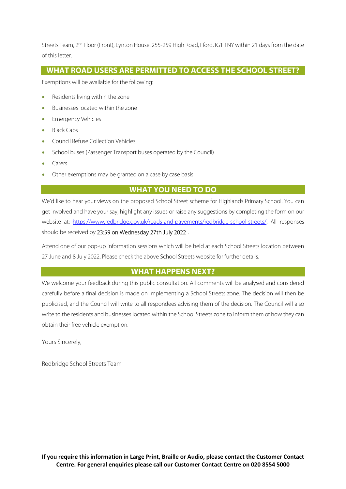Streets Team, 2<sup>nd</sup> Floor (Front), Lynton House, 255-259 High Road, Ilford, IG1 1NY within 21 days from the date of this letter.

#### WHAT ROAD USERS ARE PERMITTED TO ACCESS THE SCHOOL STREET?

Exemptions will be available for the following:

- Residents living within the zone
- Businesses located within the zone
- Emergency Vehicles
- Black Cabs
- Council Refuse Collection Vehicles
- School buses (Passenger Transport buses operated by the Council)
- Carers
- Other exemptions may be granted on a case by case basis

#### WHAT YOU NEED TO DO

We'd like to hear your views on the proposed School Street scheme for Highlands Primary School. You can get involved and have your say, highlight any issues or raise any suggestions by completing the form on our website at: https://www.redbridge.gov.uk/roads-and-pavements/redbridge-school-streets/. All responses should be received by 23:59 on Wednesday 27th July 2022 .

Attend one of our pop-up information sessions which will be held at each School Streets location between 27 June and 8 July 2022. Please check the above School Streets website for further details.

#### WHAT HAPPENS NEXT?

We welcome your feedback during this public consultation. All comments will be analysed and considered carefully before a final decision is made on implementing a School Streets zone. The decision will then be publicised, and the Council will write to all respondees advising them of the decision. The Council will also write to the residents and businesses located within the School Streets zone to inform them of how they can obtain their free vehicle exemption.

Yours Sincerely,

Redbridge School Streets Team